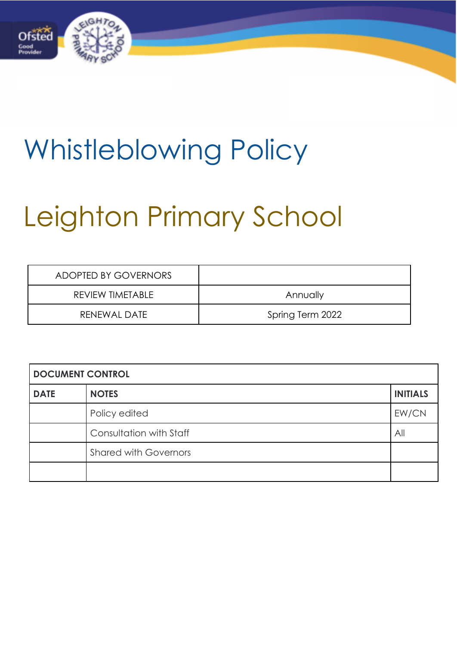

## Whistleblowing Policy

# Leighton Primary School

| ADOPTED BY GOVERNORS |                  |
|----------------------|------------------|
| REVIEW TIMETABLE     | Annually         |
| RENEWAL DATE         | Spring Term 2022 |

| <b>DOCUMENT CONTROL</b> |                              |                 |  |
|-------------------------|------------------------------|-----------------|--|
| <b>DATE</b>             | <b>NOTES</b>                 | <b>INITIALS</b> |  |
|                         | Policy edited                | EW/CN           |  |
|                         | Consultation with Staff      | All             |  |
|                         | <b>Shared with Governors</b> |                 |  |
|                         |                              |                 |  |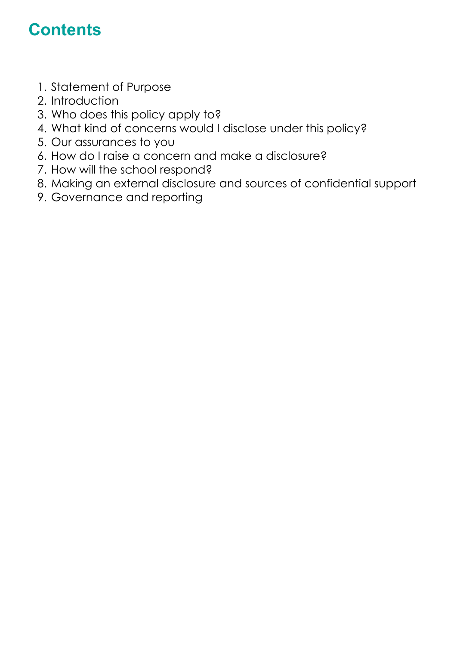### **Contents**

- 1. Statement of Purpose
- 2. Introduction
- 3. Who does this policy apply to?
- 4. What kind of concerns would I disclose under this policy?
- 5. Our assurances to you
- 6. How do I raise a concern and make a disclosure?
- 7. How will the school respond?
- 8. Making an external disclosure and sources of confidential support
- 9. Governance and reporting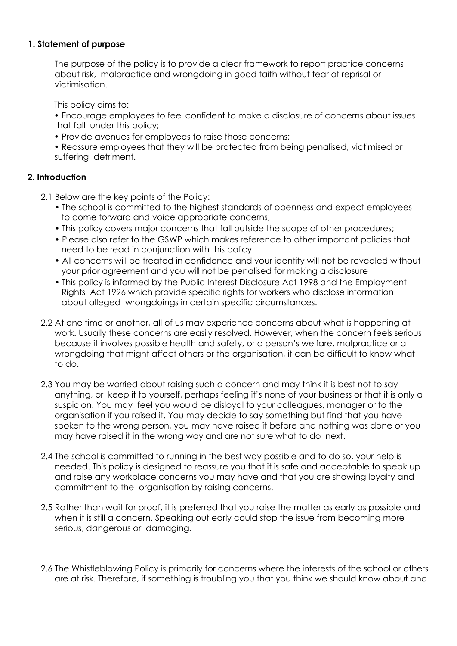#### **1. Statement of purpose**

The purpose of the policy is to provide a clear framework to report practice concerns about risk, malpractice and wrongdoing in good faith without fear of reprisal or victimisation.

This policy aims to:

• Encourage employees to feel confident to make a disclosure of concerns about issues that fall under this policy;

• Provide avenues for employees to raise those concerns;

• Reassure employees that they will be protected from being penalised, victimised or suffering detriment.

#### **2. Introduction**

- 2.1 Below are the key points of the Policy:
	- The school is committed to the highest standards of openness and expect employees to come forward and voice appropriate concerns;
	- This policy covers major concerns that fall outside the scope of other procedures;
	- Please also refer to the GSWP which makes reference to other important policies that need to be read in conjunction with this policy
	- All concerns will be treated in confidence and your identity will not be revealed without your prior agreement and you will not be penalised for making a disclosure
	- This policy is informed by the Public Interest Disclosure Act 1998 and the Employment Rights Act 1996 which provide specific rights for workers who disclose information about alleged wrongdoings in certain specific circumstances.
- 2.2 At one time or another, all of us may experience concerns about what is happening at work. Usually these concerns are easily resolved. However, when the concern feels serious because it involves possible health and safety, or a person's welfare, malpractice or a wrongdoing that might affect others or the organisation, it can be difficult to know what to do.
- 2.3 You may be worried about raising such a concern and may think it is best not to say anything, or keep it to yourself, perhaps feeling it's none of your business or that it is only a suspicion. You may feel you would be disloyal to your colleagues, manager or to the organisation if you raised it. You may decide to say something but find that you have spoken to the wrong person, you may have raised it before and nothing was done or you may have raised it in the wrong way and are not sure what to do next.
- 2.4 The school is committed to running in the best way possible and to do so, your help is needed. This policy is designed to reassure you that it is safe and acceptable to speak up and raise any workplace concerns you may have and that you are showing loyalty and commitment to the organisation by raising concerns.
- 2.5 Rather than wait for proof, it is preferred that you raise the matter as early as possible and when it is still a concern. Speaking out early could stop the issue from becoming more serious, dangerous or damaging.
- 2.6 The Whistleblowing Policy is primarily for concerns where the interests of the school or others are at risk. Therefore, if something is troubling you that you think we should know about and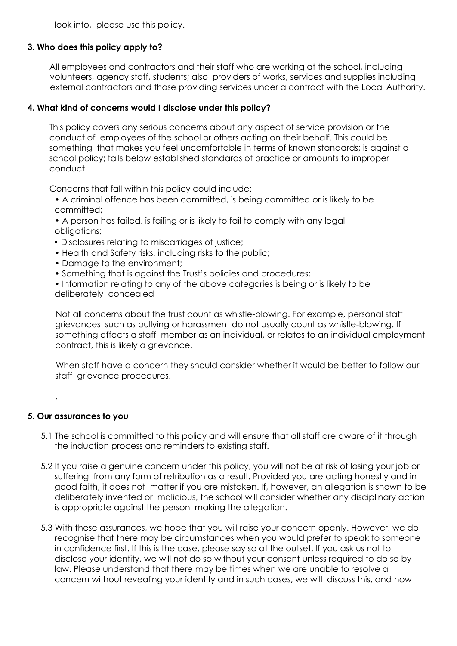look into, please use this policy.

#### **3. Who does this policy apply to?**

All employees and contractors and their staff who are working at the school, including volunteers, agency staff, students; also providers of works, services and supplies including external contractors and those providing services under a contract with the Local Authority.

#### **4. What kind of concerns would I disclose under this policy?**

This policy covers any serious concerns about any aspect of service provision or the conduct of employees of the school or others acting on their behalf. This could be something that makes you feel uncomfortable in terms of known standards; is against a school policy; falls below established standards of practice or amounts to improper conduct.

Concerns that fall within this policy could include:

- A criminal offence has been committed, is being committed or is likely to be committed;
- A person has failed, is failing or is likely to fail to comply with any legal obligations;
- Disclosures relating to miscarriages of justice;
- Health and Safety risks, including risks to the public;
- Damage to the environment;
- Something that is against the Trust's policies and procedures;
- Information relating to any of the above categories is being or is likely to be deliberately concealed

Not all concerns about the trust count as whistle-blowing. For example, personal staff grievances such as bullying or harassment do not usually count as whistle-blowing. If something affects a staff member as an individual, or relates to an individual employment contract, this is likely a grievance.

When staff have a concern they should consider whether it would be better to follow our staff grievance procedures.

#### **5. Our assurances to you**

.

- 5.1 The school is committed to this policy and will ensure that all staff are aware of it through the induction process and reminders to existing staff.
- 5.2 If you raise a genuine concern under this policy, you will not be at risk of losing your job or suffering from any form of retribution as a result. Provided you are acting honestly and in good faith, it does not matter if you are mistaken. If, however, an allegation is shown to be deliberately invented or malicious, the school will consider whether any disciplinary action is appropriate against the person making the allegation.
- 5.3 With these assurances, we hope that you will raise your concern openly. However, we do recognise that there may be circumstances when you would prefer to speak to someone in confidence first. If this is the case, please say so at the outset. If you ask us not to disclose your identity, we will not do so without your consent unless required to do so by law. Please understand that there may be times when we are unable to resolve a concern without revealing your identity and in such cases, we will discuss this, and how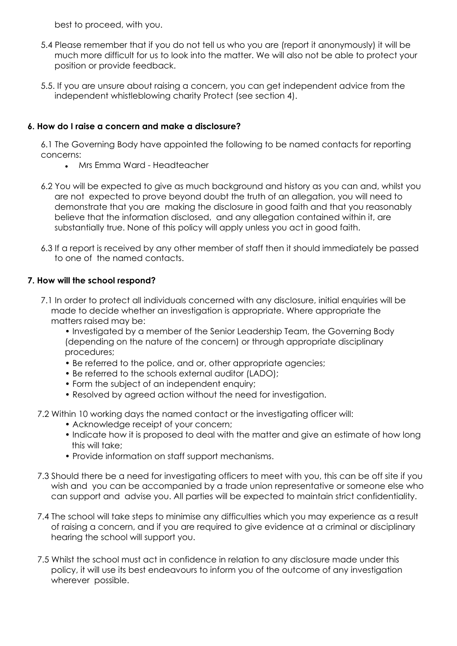best to proceed, with you.

- 5.4 Please remember that if you do not tell us who you are (report it anonymously) it will be much more difficult for us to look into the matter. We will also not be able to protect your position or provide feedback.
- 5.5. If you are unsure about raising a concern, you can get independent advice from the independent whistleblowing charity Protect (see section 4).

#### **6. How do I raise a concern and make a disclosure?**

6.1 The Governing Body have appointed the following to be named contacts for reporting concerns:

- Mrs Emma Ward Headteacher
- 6.2 You will be expected to give as much background and history as you can and, whilst you are not expected to prove beyond doubt the truth of an allegation, you will need to demonstrate that you are making the disclosure in good faith and that you reasonably believe that the information disclosed, and any allegation contained within it, are substantially true. None of this policy will apply unless you act in good faith.
- 6.3 If a report is received by any other member of staff then it should immediately be passed to one of the named contacts.

#### **7. How will the school respond?**

7.1 In order to protect all individuals concerned with any disclosure, initial enquiries will be made to decide whether an investigation is appropriate. Where appropriate the matters raised may be:

• Investigated by a member of the Senior Leadership Team, the Governing Body (depending on the nature of the concern) or through appropriate disciplinary procedures;

- Be referred to the police, and or, other appropriate agencies;
- Be referred to the schools external auditor (LADO);
- Form the subject of an independent enquiry;
- Resolved by agreed action without the need for investigation.
- 7.2 Within 10 working days the named contact or the investigating officer will:
	- Acknowledge receipt of your concern;
	- Indicate how it is proposed to deal with the matter and give an estimate of how long this will take;
	- Provide information on staff support mechanisms.
- 7.3 Should there be a need for investigating officers to meet with you, this can be off site if you wish and you can be accompanied by a trade union representative or someone else who can support and advise you. All parties will be expected to maintain strict confidentiality.
- 7.4 The school will take steps to minimise any difficulties which you may experience as a result of raising a concern, and if you are required to give evidence at a criminal or disciplinary hearing the school will support you.
- 7.5 Whilst the school must act in confidence in relation to any disclosure made under this policy, it will use its best endeavours to inform you of the outcome of any investigation wherever possible.